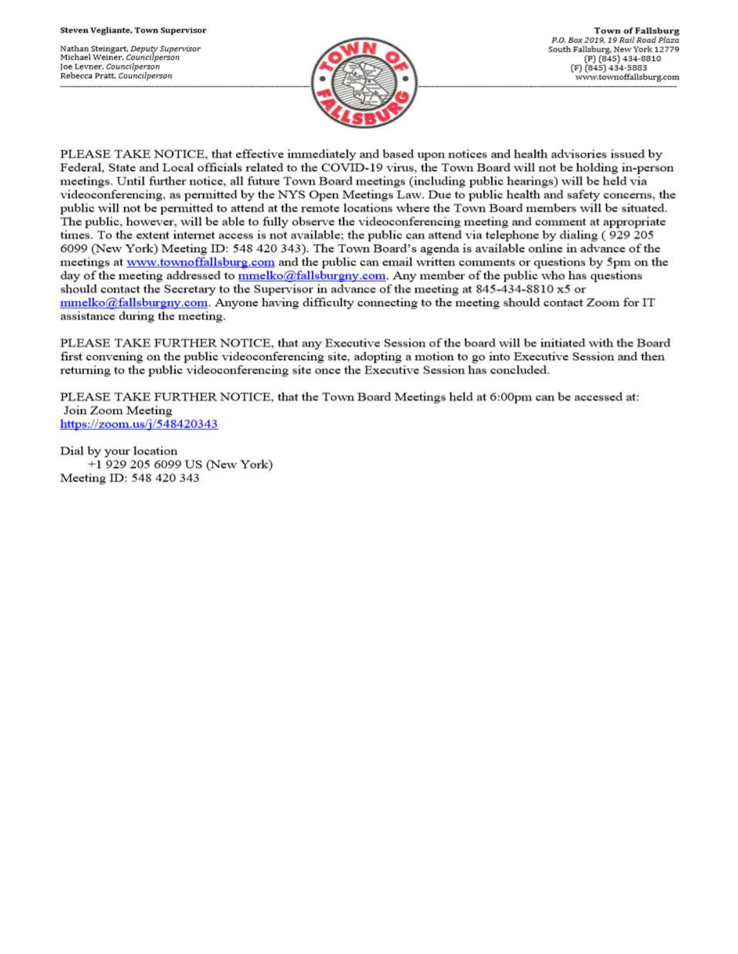Nathan Steingart, Deputy Supervisor Michael Weiner, Councilperson Joe Levner, Councilperson Rebecca Pratt, Councilperson



PLEASE TAKE NOTICE, that effective immediately and based upon notices and health advisories issued by Federal, State and Local officials related to the COVID-19 virus, the Town Board will not be holding in-person meetings. Until further notice, all future Town Board meetings (including public hearings) will be held via videoconferencing, as permitted by the NYS Open Meetings Law. Due to public health and safety concerns, the public will not be permitted to attend at the remote locations where the Town Board members will be situated. The public, however, will be able to fully observe the videoconferencing meeting and comment at appropriate times. To the extent internet access is not available; the public can attend via telephone by dialing (929 205 6099 (New York) Meeting ID: 548 420 343). The Town Board's agenda is available online in advance of the meetings at www.townoffallsburg.com and the public can email written comments or questions by 5pm on the day of the meeting addressed to  $\frac{mmelko@fallsburgny.com}{mclubuygny.com}$ . Any member of the public who has questions should contact the Secretary to the Supervisor in advance of the meeting at 845-434-8810 x5 or  $mmelko@fallsburgny.com.$  Anyone having difficulty connecting to the meeting should contact Zoom for IT assistance during the meeting.

PLEASE TAKE FURTHER NOTICE, that any Executive Session of the board will be initiated with the Board first convening on the public videoconferencing site, adopting a motion to go into Executive Session and then returning to the public videoconferencing site once the Executive Session has concluded.

PLEASE TAKE FURTHER NOTICE, that the Town Board Meetings held at 6:00pm can be accessed at: Join Zoom Meeting https://zoom.us/j/548420343

Dial by your location +1 929 205 6099 US (New York) Meeting ID: 548 420 343